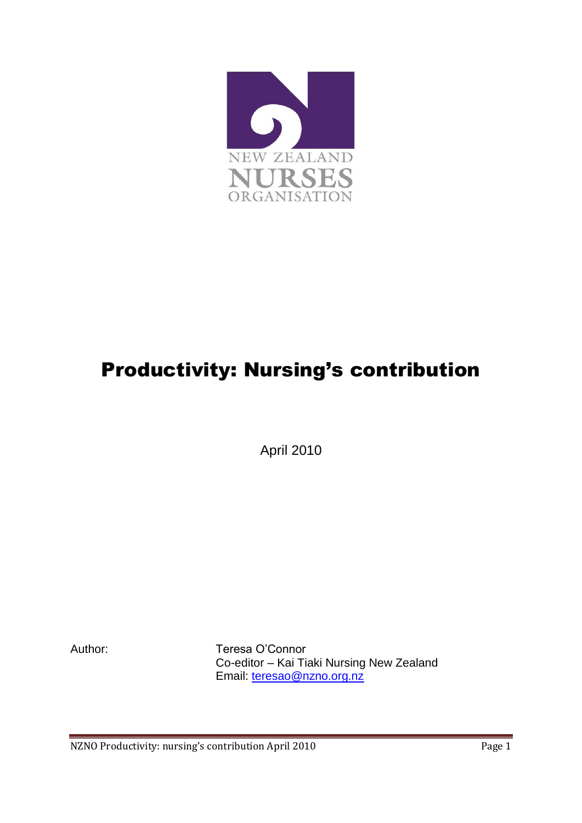

## Productivity: Nursing's contribution

April 2010

Author: Teresa O'Connor Co-editor – Kai Tiaki Nursing New Zealand Email: [teresao@nzno.org.nz](mailto:teresao@nzno.org.nz)

NZNO Productivity: nursing's contribution April 2010 Page 1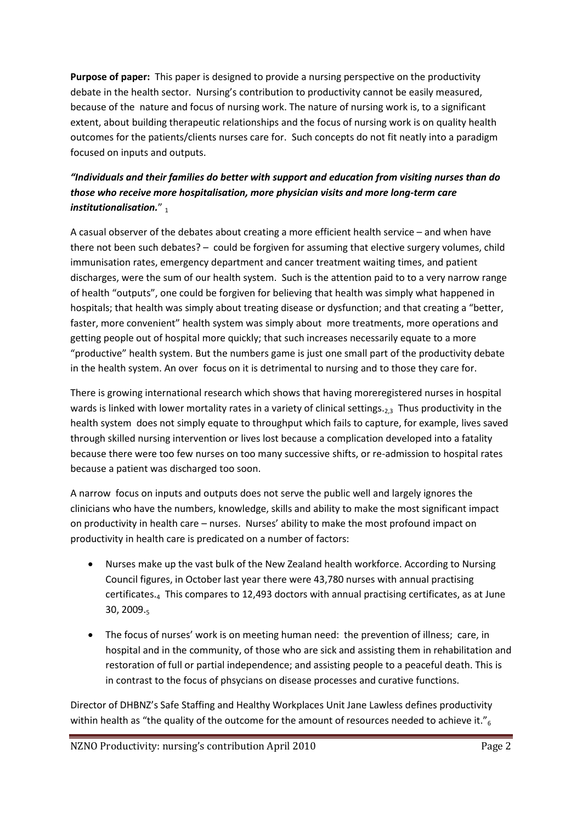**Purpose of paper:** This paper is designed to provide a nursing perspective on the productivity debate in the health sector. Nursing's contribution to productivity cannot be easily measured, because of the nature and focus of nursing work. The nature of nursing work is, to a significant extent, about building therapeutic relationships and the focus of nursing work is on quality health outcomes for the patients/clients nurses care for. Such concepts do not fit neatly into a paradigm focused on inputs and outputs.

## *"Individuals and their families do better with support and education from visiting nurses than do those who receive more hospitalisation, more physician visits and more long-term care institutionalisation.*"

A casual observer of the debates about creating a more efficient health service – and when have there not been such debates? – could be forgiven for assuming that elective surgery volumes, child immunisation rates, emergency department and cancer treatment waiting times, and patient discharges, were the sum of our health system. Such is the attention paid to to a very narrow range of health "outputs", one could be forgiven for believing that health was simply what happened in hospitals; that health was simply about treating disease or dysfunction; and that creating a "better, faster, more convenient" health system was simply about more treatments, more operations and getting people out of hospital more quickly; that such increases necessarily equate to a more "productive" health system. But the numbers game is just one small part of the productivity debate in the health system. An over focus on it is detrimental to nursing and to those they care for.

There is growing international research which shows that having moreregistered nurses in hospital wards is linked with lower mortality rates in a variety of clinical settings.<sub>2,3</sub> Thus productivity in the health system does not simply equate to throughput which fails to capture, for example, lives saved through skilled nursing intervention or lives lost because a complication developed into a fatality because there were too few nurses on too many successive shifts, or re-admission to hospital rates because a patient was discharged too soon.

A narrow focus on inputs and outputs does not serve the public well and largely ignores the clinicians who have the numbers, knowledge, skills and ability to make the most significant impact on productivity in health care – nurses. Nurses' ability to make the most profound impact on productivity in health care is predicated on a number of factors:

- Nurses make up the vast bulk of the New Zealand health workforce. According to Nursing Council figures, in October last year there were 43,780 nurses with annual practising certificates.<sup>4</sup> This compares to 12,493 doctors with annual practising certificates, as at June 30, 2009. $5$
- The focus of nurses' work is on meeting human need: the prevention of illness; care, in hospital and in the community, of those who are sick and assisting them in rehabilitation and restoration of full or partial independence; and assisting people to a peaceful death. This is in contrast to the focus of phsycians on disease processes and curative functions.

Director of DHBNZ's Safe Staffing and Healthy Workplaces Unit Jane Lawless defines productivity within health as "the quality of the outcome for the amount of resources needed to achieve it." $_6$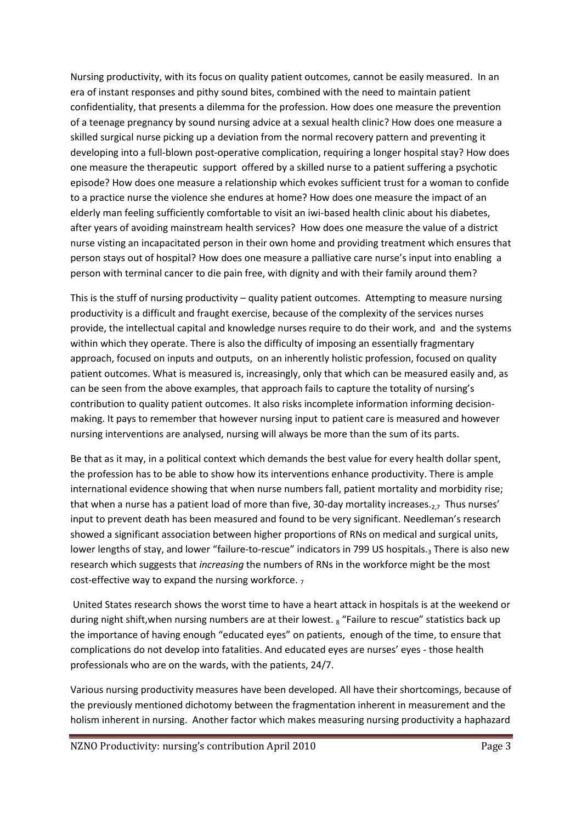Nursing productivity, with its focus on quality patient outcomes, cannot be easily measured. In an era of instant responses and pithy sound bites, combined with the need to maintain patient confidentiality, that presents a dilemma for the profession. How does one measure the prevention of a teenage pregnancy by sound nursing advice at a sexual health clinic? How does one measure a skilled surgical nurse picking up a deviation from the normal recovery pattern and preventing it developing into a full-blown post-operative complication, requiring a longer hospital stay? How does one measure the therapeutic support offered by a skilled nurse to a patient suffering a psychotic episode? How does one measure a relationship which evokes sufficient trust for a woman to confide to a practice nurse the violence she endures at home? How does one measure the impact of an elderly man feeling sufficiently comfortable to visit an iwi-based health clinic about his diabetes, after years of avoiding mainstream health services? How does one measure the value of a district nurse visting an incapacitated person in their own home and providing treatment which ensures that person stays out of hospital? How does one measure a palliative care nurse's input into enabling a person with terminal cancer to die pain free, with dignity and with their family around them?

This is the stuff of nursing productivity – quality patient outcomes. Attempting to measure nursing productivity is a difficult and fraught exercise, because of the complexity of the services nurses provide, the intellectual capital and knowledge nurses require to do their work, and and the systems within which they operate. There is also the difficulty of imposing an essentially fragmentary approach, focused on inputs and outputs, on an inherently holistic profession, focused on quality patient outcomes. What is measured is, increasingly, only that which can be measured easily and, as can be seen from the above examples, that approach fails to capture the totality of nursing's contribution to quality patient outcomes. It also risks incomplete information informing decisionmaking. It pays to remember that however nursing input to patient care is measured and however nursing interventions are analysed, nursing will always be more than the sum of its parts.

Be that as it may, in a political context which demands the best value for every health dollar spent, the profession has to be able to show how its interventions enhance productivity. There is ample international evidence showing that when nurse numbers fall, patient mortality and morbidity rise; that when a nurse has a patient load of more than five, 30-day mortality increases.<sub>2,7</sub> Thus nurses' input to prevent death has been measured and found to be very significant. Needleman's research showed a significant association between higher proportions of RNs on medical and surgical units, lower lengths of stay, and lower "failure-to-rescue" indicators in 799 US hospitals.<sub>3</sub> There is also new research which suggests that *increasing* the numbers of RNs in the workforce might be the most cost-effective way to expand the nursing workforce.  $<sub>7</sub>$ </sub>

United States research shows the worst time to have a heart attack in hospitals is at the weekend or during night shift, when nursing numbers are at their lowest.  $_8$  "Failure to rescue" statistics back up the importance of having enough "educated eyes" on patients, enough of the time, to ensure that complications do not develop into fatalities. And educated eyes are nurses' eyes - those health professionals who are on the wards, with the patients, 24/7.

Various nursing productivity measures have been developed. All have their shortcomings, because of the previously mentioned dichotomy between the fragmentation inherent in measurement and the holism inherent in nursing. Another factor which makes measuring nursing productivity a haphazard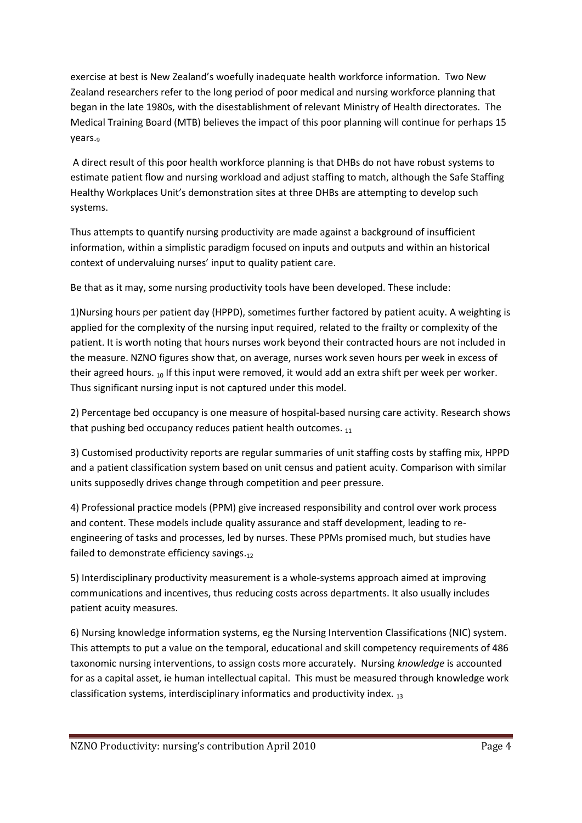exercise at best is New Zealand's woefully inadequate health workforce information. Two New Zealand researchers refer to the long period of poor medical and nursing workforce planning that began in the late 1980s, with the disestablishment of relevant Ministry of Health directorates. The Medical Training Board (MTB) believes the impact of this poor planning will continue for perhaps 15 years.<sup>9</sup>

A direct result of this poor health workforce planning is that DHBs do not have robust systems to estimate patient flow and nursing workload and adjust staffing to match, although the Safe Staffing Healthy Workplaces Unit's demonstration sites at three DHBs are attempting to develop such systems.

Thus attempts to quantify nursing productivity are made against a background of insufficient information, within a simplistic paradigm focused on inputs and outputs and within an historical context of undervaluing nurses' input to quality patient care.

Be that as it may, some nursing productivity tools have been developed. These include:

1)Nursing hours per patient day (HPPD), sometimes further factored by patient acuity. A weighting is applied for the complexity of the nursing input required, related to the frailty or complexity of the patient. It is worth noting that hours nurses work beyond their contracted hours are not included in the measure. NZNO figures show that, on average, nurses work seven hours per week in excess of their agreed hours.  $10$  If this input were removed, it would add an extra shift per week per worker. Thus significant nursing input is not captured under this model.

2) Percentage bed occupancy is one measure of hospital-based nursing care activity. Research shows that pushing bed occupancy reduces patient health outcomes.  $_{11}$ 

3) Customised productivity reports are regular summaries of unit staffing costs by staffing mix, HPPD and a patient classification system based on unit census and patient acuity. Comparison with similar units supposedly drives change through competition and peer pressure.

4) Professional practice models (PPM) give increased responsibility and control over work process and content. These models include quality assurance and staff development, leading to reengineering of tasks and processes, led by nurses. These PPMs promised much, but studies have failed to demonstrate efficiency savings.12

5) Interdisciplinary productivity measurement is a whole-systems approach aimed at improving communications and incentives, thus reducing costs across departments. It also usually includes patient acuity measures.

6) Nursing knowledge information systems, eg the Nursing Intervention Classifications (NIC) system. This attempts to put a value on the temporal, educational and skill competency requirements of 486 taxonomic nursing interventions, to assign costs more accurately. Nursing *knowledge* is accounted for as a capital asset, ie human intellectual capital. This must be measured through knowledge work classification systems, interdisciplinary informatics and productivity index.  $_{13}$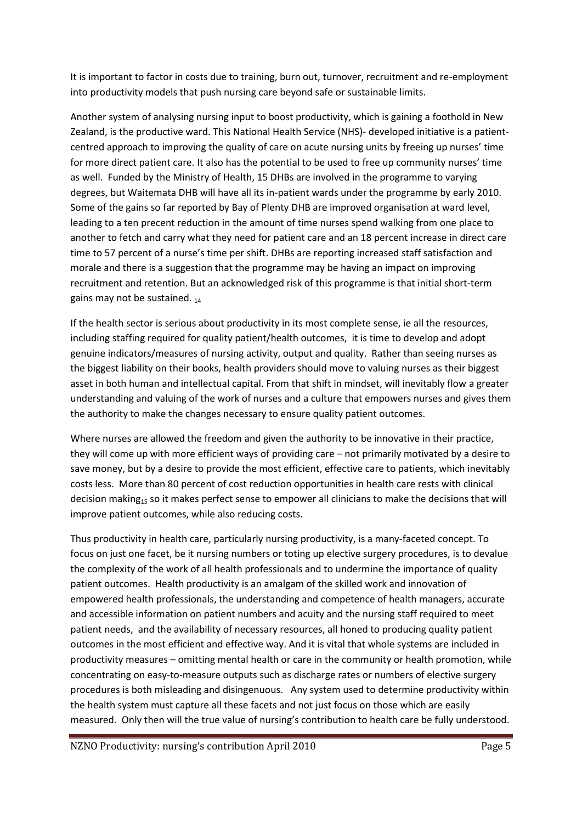It is important to factor in costs due to training, burn out, turnover, recruitment and re-employment into productivity models that push nursing care beyond safe or sustainable limits.

Another system of analysing nursing input to boost productivity, which is gaining a foothold in New Zealand, is the productive ward. This National Health Service (NHS)- developed initiative is a patientcentred approach to improving the quality of care on acute nursing units by freeing up nurses' time for more direct patient care. It also has the potential to be used to free up community nurses' time as well. Funded by the Ministry of Health, 15 DHBs are involved in the programme to varying degrees, but Waitemata DHB will have all its in-patient wards under the programme by early 2010. Some of the gains so far reported by Bay of Plenty DHB are improved organisation at ward level, leading to a ten precent reduction in the amount of time nurses spend walking from one place to another to fetch and carry what they need for patient care and an 18 percent increase in direct care time to 57 percent of a nurse's time per shift. DHBs are reporting increased staff satisfaction and morale and there is a suggestion that the programme may be having an impact on improving recruitment and retention. But an acknowledged risk of this programme is that initial short-term gains may not be sustained.  $_{14}$ 

If the health sector is serious about productivity in its most complete sense, ie all the resources, including staffing required for quality patient/health outcomes, it is time to develop and adopt genuine indicators/measures of nursing activity, output and quality. Rather than seeing nurses as the biggest liability on their books, health providers should move to valuing nurses as their biggest asset in both human and intellectual capital. From that shift in mindset, will inevitably flow a greater understanding and valuing of the work of nurses and a culture that empowers nurses and gives them the authority to make the changes necessary to ensure quality patient outcomes.

Where nurses are allowed the freedom and given the authority to be innovative in their practice, they will come up with more efficient ways of providing care – not primarily motivated by a desire to save money, but by a desire to provide the most efficient, effective care to patients, which inevitably costs less. More than 80 percent of cost reduction opportunities in health care rests with clinical decision making<sub>15</sub> so it makes perfect sense to empower all clinicians to make the decisions that will improve patient outcomes, while also reducing costs.

Thus productivity in health care, particularly nursing productivity, is a many-faceted concept. To focus on just one facet, be it nursing numbers or toting up elective surgery procedures, is to devalue the complexity of the work of all health professionals and to undermine the importance of quality patient outcomes. Health productivity is an amalgam of the skilled work and innovation of empowered health professionals, the understanding and competence of health managers, accurate and accessible information on patient numbers and acuity and the nursing staff required to meet patient needs, and the availability of necessary resources, all honed to producing quality patient outcomes in the most efficient and effective way. And it is vital that whole systems are included in productivity measures – omitting mental health or care in the community or health promotion, while concentrating on easy-to-measure outputs such as discharge rates or numbers of elective surgery procedures is both misleading and disingenuous. Any system used to determine productivity within the health system must capture all these facets and not just focus on those which are easily measured. Only then will the true value of nursing's contribution to health care be fully understood.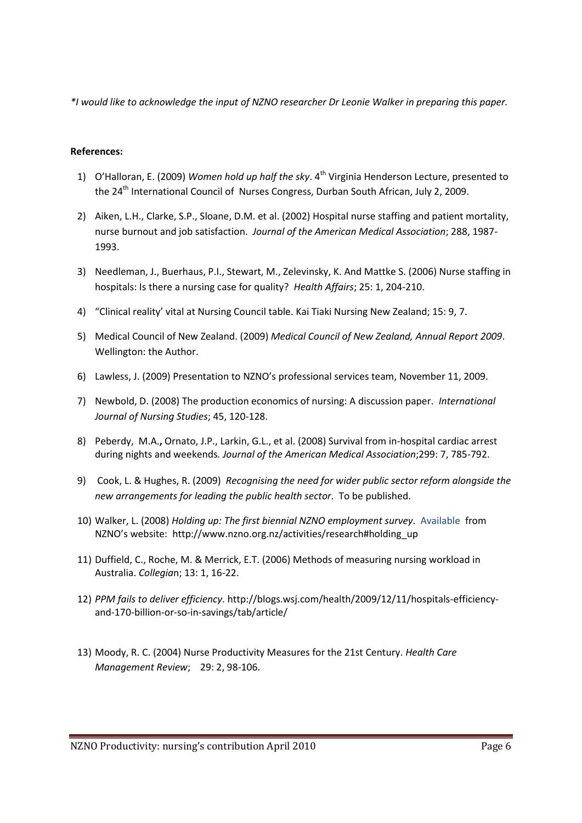*\*I would like to acknowledge the input of NZNO researcher Dr Leonie Walker in preparing this paper.*

## **References:**

- 1) O'Halloran, E. (2009) *Women hold up half the sky*. 4<sup>th</sup> Virginia Henderson Lecture, presented to the 24<sup>th</sup> International Council of Nurses Congress, Durban South African, July 2, 2009.
- 2) Aiken, L.H., Clarke, S.P., Sloane, D.M. et al. (2002) Hospital nurse staffing and patient mortality, nurse burnout and job satisfaction. *Journal of the American Medical Association*; 288, 1987- 1993.
- 3) Needleman, J., Buerhaus, P.I., Stewart, M., Zelevinsky, K. And Mattke S. (2006) Nurse staffing in hospitals: Is there a nursing case for quality? *Health Affairs*; 25: 1, 204-210.
- 4) "Clinical reality' vital at Nursing Council table. Kai Tiaki Nursing New Zealand; 15: 9, 7.
- 5) Medical Council of New Zealand. (2009) *Medical Council of New Zealand, Annual Report 2009*. Wellington: the Author.
- 6) Lawless, J. (2009) Presentation to NZNO's professional services team, November 11, 2009.
- 7) Newbold, D. (2008) The production economics of nursing: A discussion paper. *International Journal of Nursing Studies*; 45, 120-128.
- 8) Peberdy, M.A.**,** Ornato, J.P., Larkin, G.L., et al. (2008) Survival from in-hospital cardiac arrest during nights and weekends*. Journal of the American Medical Association*;299: 7, 785-792.
- 9) Cook, L. & Hughes, R. (2009) *Recognising the need for wider public sector reform alongside the new arrangements for leading the public health sector*. To be published.
- 10) Walker, L. (2008) *Holding up: The first biennial NZNO employment survey*. Available from NZNO's website: [http://www.nzno.org.nz/activities/research#holding\\_up](http://www.nzno.org.nz/activities/research#holding_up)
- 11) Duffield, C., Roche, M. & Merrick, E.T. (2006) Methods of measuring nursing workload in Australia. *Collegia*n; 13: 1, 16-22.
- 12) *PPM fails to deliver efficiency*[. http://blogs.wsj.com/health/2009/12/11/hospitals-efficiency](http://blogs.wsj.com/health/2009/12/11/hospitals-efficiency-and-170-billion-or-so-in-savings/tab/article/)[and-170-billion-or-so-in-savings/tab/article/](http://blogs.wsj.com/health/2009/12/11/hospitals-efficiency-and-170-billion-or-so-in-savings/tab/article/)
- 13) Moody, R. C. (2004) Nurse Productivity Measures for the 21st Century. *Health Care Management Review*; 29: 2, 98-106.